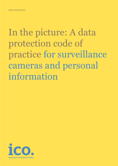# In the picture: A data protection code of practice for surveillance cameras and personal information

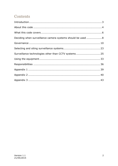# Contents

| Deciding when surveillance camera systems should be used  8 |  |
|-------------------------------------------------------------|--|
|                                                             |  |
|                                                             |  |
| Surveillance technologies other than CCTV systems  25       |  |
|                                                             |  |
|                                                             |  |
|                                                             |  |
|                                                             |  |
|                                                             |  |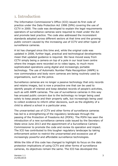# 1. Introduction

The Information Commissioner's Office (ICO) issued its first code of practice under the Data Protection Act 1998 (DPA) covering the use of CCTV in 2000. The code was developed to explain the legal requirements operators of surveillance cameras were required to meet under the Act and promote best practice. The code also addressed the inconsistent standards adopted across different sectors at that time and the growing public concern caused by the increasing use of CCTV and other types of surveillance cameras.

A lot has changed since this time and, while the original code was updated in 2008, further legal, practical and technological developments mean that updated guidance is required. We have moved away from CCTV simply being a camera on top of a pole in our local town centre where the images were recorded on to video tapes, to much more sophisticated operations using digital and increasingly portable technology. The use of Automatic Number Plate Recognition (ANPR) is now commonplace and body worn cameras are being routinely used by organisations, such as the police.

Surveillance cameras are no longer a passive technology that only records and retains images, but is now a proactive one that can be used to identify people of interest and keep detailed records of people's activities, such as with ANPR cameras. The use of surveillance cameras in this way has aroused public concern due to the technology no longer being used solely to keep people and their property safe, but increasingly being used to collect evidence to inform other decisions, such as the eligibility of a child to attend a school in a particular area.

The unwarranted use of CCTV and other forms of surveillance cameras has led to a strengthening of the regulatory landscape through the passing of the Protection of Freedoms Act (POFA). The POFA has seen the introduction of a new surveillance camera code issued by the Secretary of State since June 2013 and the appointment of a Surveillance Camera Commissioner to promote the code and review its operation and impact. The ICO has contributed to this tougher regulatory landscape by taking enforcement action to restrict the unwarranted and excessive use of increasingly powerful and affordable surveillance technologies.

While the title of this code has changed to highlight its focus on the data protection implications of using CCTV and other forms of surveillance cameras, its objectives remain the same. The ICO has developed this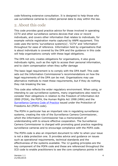code following extensive consultation. It is designed to help those who use surveillance cameras to collect personal data to stay within the law.

# 2. About this code

This code provides good practice advice for those involved in operating CCTV and other surveillance camera devices that view or record individuals, and covers other information that relates to individuals, for example vehicle registration marks captured by ANPR equipment. This code uses the terms 'surveillance system(s)', 'CCTV' and 'information' throughout for ease of reference. Information held by organisations that is about individuals is covered by the DPA and the guidance in this code will help organisations comply with these legal obligations.

The DPA not only creates obligations for organisations, it also gives individuals rights, such as the right to access their personal information, and to claim compensation when they suffer damage

The basic legal requirement is to comply with the DPA itself. This code sets out the Information Commissioner's recommendations on how the legal requirements of the DPA can be met. Organisations may use alternative methods to meet these requirements, but if they do nothing they risk breaking the law.

This code also reflects the wider regulatory environment. When using, or intending to use surveillance systems, many organisations also need to consider their obligations in relation to the Freedom of Information Act 2000 (FOIA), the POFA, the Human Rights Act 1998 (HRA) and the [Surveillance Camera Code of Practice](https://www.gov.uk/government/publications/surveillance-camera-code-of-practice) issued under the Protection of Freedoms Act (POFA code).

The POFA in particular has an important role in regulating surveillance systems, creating the role of the Surveillance Camera Commissioner, which the Information Commissioner has a memorandum of understanding with to ensure effective cooperation. The Surveillance Camera Commissioner is charged with promoting good practice regarding surveillance cameras and to encourage compliance with the POFA code.

The POFA code is also an important document to refer to when your issue is not a data protection one. It provides advice and guidance on issues such as operational requirements, technical standards and the effectiveness of the systems available. The 12 guiding principles are the key component of the POFA code and these are referenced throughout the ICO code to enable practitioners to see the core compliance points in both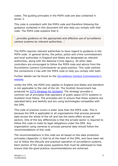codes. The guiding principles in the POFA code are also contained in annex 3.

This code is consistent with the POFA code and therefore following the guidance contained in this document will also help you comply with that code. The POFA code explains that it:

'…*provides guidance on the appropriate and effective use of surveillance camera systems by relevant authorities…'*.

The POFA requires relevant authorities to have regard to guidance in the POFA code. In general terms, the police, police and crime commissioners and local authorities in England and Wales are designated as relevant authorities, along with the National Crime Agency. All other data controllers are encouraged to follow the POFA code and advice from the Surveillance Camera Commissioner as good practice. This code outlines the connections it has with the POFA code to help you comply with both.

Further details can be found on the **Surveillance Camera Commissioner's** [website.](https://www.gov.uk/government/organisations/surveillance-camera-commissioner)

Unlike the DPA, the POFA only applies to England and Wales and therefore is not applicable to the rest of the UK. The Scottish Government has produced its [CCTV Strategy for Scotland.](http://www.scotland.gov.uk/Publications/2011/03/18085554/0) The strategy provides a common set of principles that operators of public space CCTV systems in Scotland must follow. The principles aim to ensure that these systems are operated fairly and lawfully and are using technologies compatible with the DPA.

This code of practice covers a wider area than the POFA code. This is because the DPA is applicable to all organisations that process personal data across the whole of the UK and has the same effect across all sectors. One of the key differences is that the private sector is required to follow this code to meet its legal obligations under the DPA. Any organisation using cameras to process personal data should follow the recommendations of this code.

The recommendations in this code are all based on the data protection principles (Appendix 1) that lie at the heart of the DPA, and have been set out to follow the lifecycle and practical operation of surveillance systems. Each section of the code poses questions that must be addressed to help ensure that the good practice recommendations are achieved.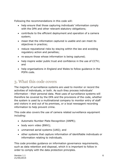Following the recommendations in this code will:

- help ensure that those capturing individuals' information comply with the DPA and other relevant statutory obligations;
- contribute to the efficient deployment and operation of a camera system;
- mean that the information captured is usable and can meet its objectives in practice;
- reduce reputational risks by staying within the law and avoiding regulatory action and penalties;
- re-assure those whose information is being captured;
- help inspire wider public trust and confidence in the use of CCTV; and
- help organisations in England and Wales to follow guidance in the POFA code.

# 3. What this code covers

The majority of surveillance systems are used to monitor or record the activities of individuals, or both. As such they process individuals' information - their personal data. Most uses of surveillance systems will therefore be covered by the DPA and the provisions of the code, whether the system is used by a multinational company to monitor entry of staff and visitors in and out of its premises, or a local newsagent recording information to help prevent crime.

This code also covers the use of camera related surveillance equipment including:

- Automatic Number Plate Recognition (ANPR);
- body worn video (BWV);
- unmanned aerial systems (UAS); and
- other systems that capture information of identifiable individuals or information relating to individuals.

This code provides guidance on information governance requirements, such as data retention and disposal, which it is important to follow in order to comply with the data protection principles.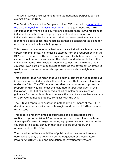The use of surveillance systems for limited household purposes can be exempt from the DPA.

The Court of Justice of the European Union (CJEU) issued its [judgment](http://curia.europa.eu/juris/document/document.jsf?text=&docid=160561&pageIndex=0&doclang=en&mode=lst&dir=&occ=first&part=1&cid=263584) in [the case of Ryneš on 11 December 2014](http://curia.europa.eu/juris/document/document.jsf?text=&docid=160561&pageIndex=0&doclang=en&mode=lst&dir=&occ=first&part=1&cid=263584). In this judgment, the CJEU concluded that where a fixed surveillance camera faces outwards from an individual's private domestic property and it captures images of individuals beyond the boundaries of their property, particularly where it monitors a public space, the recording cannot be considered as being for a purely personal or household purpose.

This means that cameras attached to a private individual's home may, in certain circumstances, no longer be exempt from the requirements of the DPA under section 36. Those circumstances are likely to include where the camera monitors any area beyond the interior and exterior limits of that individual's home. This would include any camera to the extent that it covered, even partially, a public space such as the pavement or street. It would also cover cameras which captured areas such as neighbours' gardens.

This decision does not mean that using such a camera is not possible but it does mean that individuals will have to ensure that its use is legitimate under the DPA. The CJEU made clear that use of cameras to protect a property in this way can meet the legitimate interest condition in the legislation. The ICO has produced a short complementary piece of guidance for the public on how to ensure the use of a surveillance camera on a private domestic property complies with the DPA.

The ICO will continue to assess the potential wider impact of the CJEU's decision on other surveillance technologies and may add further updates to this code.

This code is primarily aimed at businesses and organisations that routinely capture individuals' information on their surveillance systems. Some specific uses of image recording equipment are not intended to be covered in this code, although they may still be covered by the requirements of the DPA.

The covert surveillance activities of public authorities are not covered here because they are governed by the Regulation of Investigatory Powers Act (RIPA) 2000 and Regulation of Investigatory Powers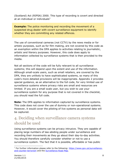(Scotland) Act (RIPSA) 2000. This type of recording is covert and directed at an individual or individuals $1$ 

**Example:** The police monitoring and recording the movement of a suspected drug dealer with covert surveillance equipment to identify whether they are committing any related offences.

The use of conventional cameras (not CCTV) by the news media or for artistic purposes, such as for film making, are not covered by this code as an exemption within the DPA applies to activities relating to journalistic, artistic and literary purposes. However, this code does apply to information collected by surveillance systems that is then provided to the media.

Not all sections of the code will be fully relevant to all surveillance systems; this will depend upon the extent and use of the information. Although small-scale users, such as small retailers, are covered by the DPA, they are unlikely to have sophisticated systems, so many of this code's more detailed provisions will be inappropriate. Appendix 2 provides special guidance, as an alternative to the full code, for very limited use of surveillance systems where privacy risks are small and resources are limited. If you are a small scale user, but you wish to use your surveillance system for any purpose that is not covered in the checklist, you should read the full code.

**Note:** The DPA applies to information captured by surveillance systems. This code does not cover the use of dummy or non-operational systems. However, it would cover the piloting of live systems as personal data will be captured.

# 4. Deciding when surveillance camera systems should be used

Using surveillance systems can be privacy intrusive. They are capable of placing large numbers of law-abiding people under surveillance and recording their movements as they go about their day-to-day activities. You should therefore carefully consider whether or not to use a surveillance system. The fact that it is possible, affordable or has public

<sup>1</sup> For further information please refer to the following: [https://www.gov.uk/surveillance](https://www.gov.uk/surveillance-and-counter-terrorism)[and-counter-terrorism](https://www.gov.uk/surveillance-and-counter-terrorism) and th[e Surveillance Road Map.](https://ico.org.uk/media/for-organisations/documents/1042035/surveillance-road-map.pdf)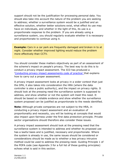support should not be the justification for processing personal data. You should also take into account the nature of the problem you are seeking to address; whether a surveillance system would be a justified and an effective solution, whether better solutions exist, what effect its use may have on individuals, and whether in the light of this, its use is a proportionate response to the problem. If you are already using a surveillance system, you should regularly evaluate whether it is necessary and proportionate to continue using it.

**Example:** Cars in a car park are frequently damaged and broken in to at night. Consider whether improved lighting would reduce the problem more effectively than CCTV.

You should consider these matters objectively as part of an assessment of the scheme's impact on people's privacy. The best way to do this is to conduct a privacy impact assessment. The ICO has produced a '[Conducting privacy impact assessments code of practice](https://ico.org.uk/media/for-organisations/documents/1595/pia-code-of-practice.pdf)' that explains how to carry out a proper assessment.

A privacy impact assessment looks at privacy in a wider context than just the DPA, it also takes into consideration the HRA (where the data controller is also a public authority), and the impact on privacy rights. It should look at the pressing need the surveillance system is supposed to address, and show whether or not the system will meet this need. It should be based on reliable evidence and show whether the surveillance system proposed can be justified as proportionate to the needs identified.

**Note:** Although private companies are not subject to the HRA, in conducting a privacy impact assessment and an evaluation of proportionality and necessity, you will be looking at concepts that would also impact upon fairness under the first data protection principle. Private sector organisations should therefore also consider these issues.

A privacy impact assessment should look at the pressing need that the surveillance system is intended to address and whether its proposed use has a lawful basis and is justified, necessary and proportionate. Where the system is already in use, the same issues should be considered or considerations should be made as to whether a less privacy intrusive method could be used to address the pressing need. Guiding Principle 1 of the POFA code (see Appendix 3 for a full list of these guiding principles) echoes what is said in this section.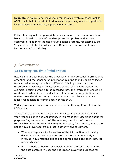**Example:** A police force could use a temporary or vehicle based mobile ANPR car to help it decide if it addresses the pressing need in a particular location before establishing a permanent system.

Failure to carry out an appropriate privacy impact assessment in advance has contributed to many of the data protection problems that have occurred in relation to the use of surveillance systems, for example, the 'Royston ring of steel' in which the ICO issued an [enforcement notice](http://ico.org.uk/enforcement/~/media/documents/library/Data_Protection/Notices/hertfordshire-constabulary-enforcement-notice.pdf) to Hertfordshire Constabulary.

# 5. Governance

## 5.1 Ensuring effective administration

Establishing a clear basis for the processing of any personal information is essential, and the handling of information relating to individuals collected from surveillance systems is no different. It is important that you establish who has responsibility for the control of this information, for example, deciding what is to be recorded, how the information should be used and to whom it may be disclosed. If you are the organisation that makes these decisions then you are the data controller and you are legally responsible for compliance with the DPA.

Wider governance issues are also addressed in Guiding Principle 4 of the POFA code.

Where more than one organisation is involved, you should both know your responsibilities and obligations. If you make joint decisions about the purposes for, and operation of, the scheme, then both of you are responsible under the DPA. This may be the case, for example, where the police have a 'live feed' from a local authority owned camera.

- Who has responsibility for control of the information and making decisions about how it can be used? If more than one body is involved, have responsibilities been agreed and does each know its responsibilities?
- Has the body or bodies responsible notified the ICO that they are the data controller? Does the notification cover the purposes for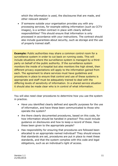which the information is used, the disclosures that are made, and other relevant details?

 If someone outside your organisation provides you with any processing services, for example editing information (such as CCTV images), is a written contract in place with clearly defined responsibilities? This should ensure that information is only processed in accordance with your instructions. The contract should also include guarantees about security, such as storage and the use of properly trained staff.

**Example:** Public authorities may share a common control room for a surveillance system in order to cut back on running costs. This will include situations where the surveillance system is managed by a thirdparty on behalf of the public authority. If the surveillance system monitors the inside of a hospital but also monitors the high street, then different privacy expectations will apply to the information gained from each. The agreement to share services must have guidelines and procedures in place to ensure that control and use of these systems is appropriate and staff must be adequately trained to deal with the differing levels of sensitivity of information. In a shared service situation it should also be made clear who is in control of what information.

You will also need clear procedures to determine how you use the system in practice.

- Have you identified clearly defined and specific purposes for the use of information, and have these been communicated to those who operate the system?
- Are there clearly documented procedures, based on this code, for how information should be handled in practice? This could include guidance on disclosures and how to keep a record of these. Have these been given to the appropriate people?
- Has responsibility for ensuring that procedures are followed been allocated to an appropriate named individual? They should ensure that standards are set, procedures are put in place to meet these standards, and that the system complies with this code and legal obligations, such as an individual's right of access.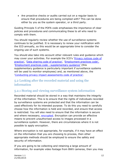Are proactive checks or audits carried out on a regular basis to ensure that procedures are being complied with? This can be done either by you as the system operator, or a third party.

Guiding Principle 5 of the POFA code emphasises the importance of clear policies and procedures and communicating these to all who need to comply with them.

You should regularly review whether the use of surveillance systems continues to be justified. It is necessary to renew your notification with the ICO annually, so this would be an appropriate time to consider the ongoing use of such systems.

You should also take into account other relevant rules and guidance which may cover your activities. For example the ICO's '[Privacy notices code of](https://ico.org.uk/for-organisations/guide-to-data-protection/privacy-notices-transparency-and-control/)  [practice](https://ico.org.uk/for-organisations/guide-to-data-protection/privacy-notices-transparency-and-control/)', '[Data sharing code of practice](http://ico.org.uk/for_organisations/guidance_index/~/media/documents/library/Data_Protection/Detailed_specialist_guides/data_sharing_code_of_practice.ashx)', '[Employment practices code](http://ico.org.uk/for_organisations/guidance_index/~/media/documents/library/Data_Protection/Detailed_specialist_guides/the_employment_practices_code.ashx)', '[Employment practices code -](http://ico.org.uk/for_organisations/guidance_index/~/media/documents/library/Data_Protection/Detailed_specialist_guides/employment_practice_code_supplementary_guidance.ashx) supplementary guidance' (this supplementary guidance is particularly important if surveillance systems will be used to monitor employees) and, as mentioned above, the '[Conducting privacy impact assessments code of practice](http://ico.org.uk/for_organisations/data_protection/topic_guides/~/media/documents/library/data_protection/practical_application/pia-code-of-practice-final-draft.pdf)'.

## 5.2 Looking after the recorded material and using the information

## 5.2.1 Storing and viewing surveillance system information

Recorded material should be stored in a way that maintains the integrity of the information. This is to ensure that the rights of individuals recorded by surveillance systems are protected and that the information can be used effectively for its intended purpose. To do this you need to carefully choose how the information is held and recorded, and ensure that access is restricted. You will also need to ensure that the information is secure and where necessary, [encrypted.](https://ico.org.uk/about-the-ico/news-and-events/current-topics/our-approach-to-encryption/) Encryption can provide an effective means to prevent unauthorised access to images processed in a surveillance system. However, there are circumstances where it is not possible to apply encryption.

Where encryption is not appropriate, for example, if it may have an effect on the information that you are choosing to process, then other appropriate methods should be employed to ensure the safety and security of information.

If you are going to be collecting and retaining a large amount of information, for example video footage from BWV cameras, then you may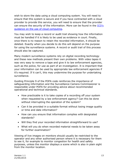wish to store the data using a cloud computing system. You will need to ensure that this system is secure and if you have contracted with a cloud provider to provide this service, you will need to ensure that the provider can ensure the security of the information. More can be found in the [ICO's](http://ico.org.uk/for_organisations/guidance_index/~/media/documents/library/Data_Protection/Practical_application/cloud_computing_guidance_for_organisations.ashx)  [guidance on the use of cloud computing.](http://ico.org.uk/for_organisations/guidance_index/~/media/documents/library/Data_Protection/Practical_application/cloud_computing_guidance_for_organisations.ashx)

You may wish to keep a record or audit trail showing how the information must be handled if it is likely to be used as evidence in court. Finally, once there is no reason to retain the recorded information, it should be deleted. Exactly when you decide to do this will depend on the purpose for using the surveillance systems. A record or audit trail of this process should also be captured.

Many modern surveillance systems rely on digital recording technology and these new methods present their own problems. With video tapes it was very easy to remove a tape and give it to law enforcement agencies, such as the police, for use as part of an investigation. It is important that your information can be used by appropriate law enforcement agencies if it's required. If it can't, this may undermine the purpose for undertaking surveillance.

Guiding Principle 9 of the POFA code reinforces the importance of safeguarding information and the Surveillance Camera Commissioner is responsible under POFA for providing advice about recommended operational and technical standards.

- How practicable is it to take copies of a recording off your system when requested by a law enforcement agency? Can this be done without interrupting the operation of the system?
- Can it be provided in a suitable format without losing image quality or time and date information?
- How can you ensure that information complies with designated standards?
- Will they find your recorded information straightforward to use?
- What will you do when recorded material needs to be taken away for further examination?

Viewing of live images on monitors should usually be restricted to the operator and any other authorised person where it is necessary for them to see it, for example to monitor congestion for health and safety purposes, unless the monitor displays a scene which is also in plain sight from the monitor location.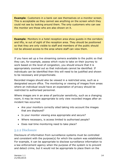**Example:** Customers in a bank can see themselves on a monitor screen. This is acceptable as they cannot see anything on the screen which they could not see by looking around them. The only customers who can see the monitor are those who are also shown on it.

**Example:** Monitors in a hotel reception area show quests in the corridors and lifts, ie out of sight of the reception area. They should be positioned so that they are only visible to staff and members of the public should not be allowed access to the area where staff can view them.

If you have set up a live streaming camera available to the public so that they can, for example, assess which route to take on their journey to work based on the level of congestion, you should ensure that it is appropriately zoomed out so that individuals cannot be identified. If individuals can be identified then this will need to be justified and shown to be necessary and proportionate.

Recorded images should also be viewed in a restricted area, such as a designated secure office. The monitoring or viewing of images from areas where an individual would have an expectation of privacy should be restricted to authorised personnel.

Where images are in an area of particular sensitivity, such as a changing room, it may be more appropriate to only view recorded images after an incident has occurred.

- Are your monitors correctly sited taking into account the images that are displayed?
- Is your monitor viewing area appropriate and secure?
- Where necessary, is access limited to authorised people?
- Does real time monitoring need to take place?

#### 5.2.2 Disclosure

Disclosure of information from surveillance systems must be controlled and consistent with the purpose(s) for which the system was established. For example, it can be appropriate to disclose surveillance information to a law enforcement agency when the purpose of the system is to prevent and detect crime, but it would not be appropriate to place them on the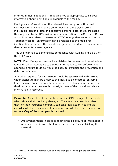internet in most situations. It may also not be appropriate to disclose information about identifiable individuals to the media.

Placing such information on the internet incorrectly, or without full consideration of what is being done, may cause the disclosure of individuals' personal data and sensitive personal data. In severe cases, this may lead to the ICO taking enforcement action. In 2011 the ICO took action in a case related to streamed CCTV footage that ended up on the YouTube website. Information can be released to the media for identification purposes; this should not generally be done by anyone other than a law enforcement agency.

This will help you to demonstrate compliance with Guiding Principle 7 of the POFA code.

**NOTE:** Even if a system was not established to prevent and detect crime, it would still be acceptable to disclose information to law enforcement agencies if failure to do so would be likely to prejudice the prevention and detection of crime.

Any other requests for information should be approached with care as wider disclosure may be unfair to the individuals concerned. In some limited circumstances it may be appropriate to release information to a third party, where their needs outweigh those of the individuals whose information is recorded.

**Example:** A member of the public requests CCTV footage of a car park, which shows their car being damaged. They say they need it so that they, or their insurance company, can take legal action. You should consider whether their request is genuine and whether there is any risk to the safety of the other people involved.

 Are arrangements in place to restrict the disclosure of information in a manner that is consistent with the purpose for establishing the system?

-

ICO tells CCTV website Internet Eyes to make changes following privacy concerns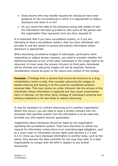- Does anyone who may handle requests for disclosure have clear guidance on the circumstances in which it is appropriate to make a disclosure and when it is not?
- Do you record the date of the disclosure along with details of who the information has been provided to (the name of the person and the organisation they represent) and why they required it?

It is important that if you have surveillance system, or if you are intending to have a surveillance system, that you have individuals who are able to use the system to access and extract information where disclosure is appropriate.

When disclosing surveillance images of individuals, particularly when responding to subject access requests, you need to consider whether the identifying features of any of the other individuals in the image need to be obscured. In most cases the privacy intrusion to third party individuals will be minimal and obscuring images will not be required. However, consideration should be given to the nature and context of the footage.

**Example:** If footage from a camera that covers the entrance to a drug rehabilitation centre is held, then consider obscuring the images of people entering and leaving it as this could be considered sensitive personal data. This may involve an unfair intrusion into the privacy of the individuals whose information is captured and may cause unwarranted harm or distress. On the other hand, footage of individual's entering and exiting a bookshop is far less likely to require obscuring.

It may be necessary to contract obscuring out to another organisation. Where this occurs, you will need to have a written contract with the processor that specifies exactly how the information is to be used and provides you with explicit security guarantees.

Judgements about disclosure should be made by the organisation operating the surveillance system. They have discretion to refuse any request for information unless there is an overriding legal obligation, such as a court order or information access rights (see sections 5.2.3 and 5.2.4). Once you have disclosed information to another body, such as the police, they become the data controller for the copy they hold. It is their responsibility to comply with the DPA in relation to any further disclosures.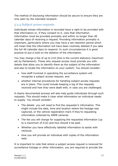The method of disclosing information should be secure to ensure they are only seen by the intended recipient.

## 5.2.3 Subject access requests

Individuals whose information is recorded have a right to be provided with that information or, if they consent to it, view that information. Information must be provided promptly and within no longer than 40 calendar days of receiving a request. Providing information promptly is important, particularly where you may have a set retention period which will mean that the information will have been routinely deleted if you take the full 40 calendar days to respond. In such circumstances it is good practice to put a hold on the deletion of the information.

You may charge a fee of up to £10 (this is the current statutory maximum set by Parliament). Those who request access must provide you with details that allow you to identify them as the subject of the information and also to locate the information on your system. You should consider:

- how staff involved in operating the surveillance system will recognise a subject access request; and
- whether internal procedures for handling subject access requests are in place. This could include keeping a log of the requests received and how they were dealt with, in case you are challenged.

A clearly documented process will also help guide individuals through such requests. This should make it clear what information an individual needs to supply. You should consider:

- The details you will need to find the requester's information. This might include the date, time and location where the footage was captured, or the vehicle registration mark if they're requesting information collected by ANPR cameras
- The fee you will charge for supplying the requested information (up to a maximum of £10) and how should it be paid.
- Whether you have effectively labelled information to assist with retrieval.
- How you will provide an individual with copies of the information held.

It is important to note that where a subject access request is received for surveillance footage or other information, you are required to provide the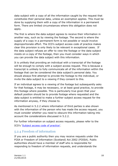data subject with a copy of all the information caught by the request that constitutes their personal data, unless an exemption applies. This must be done by supplying them with a copy of the information in a permanent form. There are limited circumstances where this obligation does not apply.

The first is where the data subject agrees to receive their information in another way, such as by viewing the footage. The second is where the supply of a copy in a permanent form is not possible or would involve disproportionate effort. The ICO's subject access code of practice makes clear this provision is only likely to be relevant in exceptional cases. If the data subject refuses an offer to view the footage or the data subject insists on a copy of the footage, then you must consider ways in which you can provide the data subject with this information.

It is unlikely that providing an individual with a transcript of the footage will be enough to comply with a subject access request. This is because a transcript is unlikely to fully communicate all of the information within the footage that can be considered the data subject's personal data. You should always first attempt to provide the footage to the individual, or invite the data subject to a viewing if they consent to this.

If an individual agrees to a viewing of the footage but subsequently asks for that footage, it may be necessary, or at least good practice, to provide this footage where possible. This is particularly true given that your default position should be to provide footage where requested and the data subject is entitled to make a further subject access request for the information anyway, if they choose to.

As mentioned in 5.2.2 where information of third parties is also shown with the information of the person who has made the access request, you must consider whether you need to obscure this information taking into account the considerations discussed in 5.2.2.

For further information on subject access requests, please refer to the ICO's '[Subject access code of practice](http://ico.org.uk/for_organisations/guidance_index/~/media/documents/library/Data_Protection/Detailed_specialist_guides/subject-access-code-of-practice.PDF)'.

#### 5.2.4 Freedom of information

If you are a public authority then you may receive requests under the FOIA or Freedom of Information (Scotland) Act 2002 (FOISA). Public authorities should have a member of staff who is responsible for responding to freedom of information requests, and understands the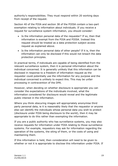authority's responsibilities. They must respond within 20 working days from receipt of the request.

Section 40 of the FOIA and section 38 of the FOISA contain a two-part exemption relating to information about individuals. If you receive a request for surveillance system information, you should consider:

- Is the information personal data of the requester? If so, then that information is exempt from the FOIA and FOISA. Instead this request should be treated as a data protection subject access request as explained above.
- Is the information personal data of other people? If it is, then the information can only be disclosed if this would not breach the data protection principles.

In practical terms, if individuals are capable of being identified from the relevant surveillance system, then it is personal information about the individual concerned. It is generally unlikely that this information can be disclosed in response to a freedom of information request as the requester could potentially use the information for any purpose and the individual concerned is unlikely to expect this. This may be unfair processing in contravention of the DPA.

However, when deciding on whether disclosure is appropriate you can consider the expectations of the individuals involved, what the information considered for disclosure would reveal and the legitimate public interest in the information.

Where you think obscuring images will appropriately anonymise third party personal data, ie it is reasonably likely that the requestor or anyone else can identify the individuals whose personal data you wish to protect (disclosure under FOIA being disclosure to the world), then it may be appropriate to do this rather than exempting the information.

If you are a public authority who has surveillance systems, you may also receive requests for information under FOIA relating to those surveillance systems. For example, requestors may ask for information regarding the operation of the systems, the siting of them, or the costs of using and maintaining them.

If this information is held, then consideration will need to be given to whether or not it is appropriate to disclose this information under FOIA. If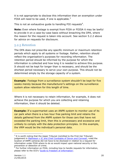it is not appropriate to disclose this information then an exemption under FOIA will need to be used, if one is applicable. $3$ 

This is not an exhaustive guide to handling FOI requests<sup>4</sup>.

**Note:** Even where footage is exempt from FOIA or FOISA it may be lawful to provide it on a case-by-case basis without breaching the DPA, where the reason for the request is taken into account. See section 5.2.2 above for advice on requests for disclosure.

#### 5.2.5 Retention

The DPA does not prescribe any specific minimum or maximum retention periods which apply to all systems or footage. Rather, retention should reflect the organisation's purposes for recording information. The retention period should be informed by the purpose for which the information is collected and how long it is needed to achieve this purpose. It should not be kept for longer than is necessary, and should be the shortest period necessary to serve your own purpose. This should not be determined simply by the storage capacity of a system.

**Example**: Footage from a surveillance system shouldn't be kept for five weeks merely because the manufacturer's settings on the surveillance system allow retention for this length of time.

Where it is not necessary to retain information, for example, it does not achieve the purpose for which you are collecting and retaining information, then it should be deleted.

**Example:** If a supermarket uses an ANPR system to monitor use of its car park when there is a two hour free parking limit and retains the details gathered from the ANPR system for those cars that have not exceeded the parking limit, then this is unnecessary and excessive and unlikely to comply with the data protection principles. In this example, the VRM would be the individual's personal data.

-

 $3$  It is worth noting that the Upper Tribunal (remitted to the First-tier Tribunal) judgement in **Mathieson v IC and Chief Constable of Devon and Cornwall**, ruled the location of ANPR cameras did not have to be disclosed in relation to a request for information under FOIA where to do so would impact upon national security or the prevention or detection of crime.

 $4$  For further information on FOIA, including how to handle requests for information, please refer to the ICO's '[Guide to Freedom of Information](http://ico.org.uk/for_organisations/guidance_index/~/media/documents/library/Freedom_of_Information/Detailed_specialist_guides/guide_to_freedom_of_information.pdf)'.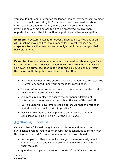You should not keep information for longer than strictly necessary to meet your purposes for recording it. On occasion, you may need to retain information for a longer period, where a law enforcement body is investigating a crime and ask for it to be preserved, to give them opportunity to view the information as part of an active investigation.

**Example:** A system installed to prevent fraud being carried out at an ATM machine may need to retain images for several weeks, since a suspicious transaction may not come to light until the victim gets their bank statement.

**Example:** A small system in a pub may only need to retain images for a shorter period of time because incidents will come to light very quickly. However, if a crime has been reported to the police, you should retain the images until the police have time to collect them.

- Have you decided on the shortest period that you need to retain the information, based upon your purpose for recording it?
- Is your information retention policy documented and understood by those who operate the system?
- Are measures in place to ensure the permanent deletion of information through secure methods at the end of this period?
- Do you undertake systematic checks to ensure that the retention period is being complied with in practice?
- Following this advice will help you to demonstrate that you have considered Guiding Principle 6 of the POFA code.

## 5.3 Staying in control

Once you have followed the guidance in this code and set up the surveillance system, you need to ensure that it continues to comply with the DPA and the code's requirements in practice. You should:

- tell people how they can make a subject access request, who it should be sent to and what information needs to be supplied with their request;
- give them a copy of this code or details of the ICO website; and

Version 1.1 21 21/05/2015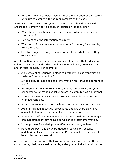• tell them how to complain about either the operation of the system or failure to comply with the requirements of this code.

Staff using the surveillance system or information should be trained to ensure they comply with this code. In particular, do they know:

- What the organisation's policies are for recording and retaining information?
- How to handle the information securely?
- What to do if they receive a request for information, for example, from the police?
- How to recognise a subject access request and what to do if they receive one?

All information must be sufficiently protected to ensure that it does not fall into the wrong hands. This should include technical, organisational and physical security. For example:

- Are sufficient safeguards in place to protect wireless transmission systems from interception?
- Is the ability to make copies of information restricted to appropriate staff?
- Are there sufficient controls and safeguards in place if the system is connected to, or made available across, a computer, eg an intranet?
- Where information is disclosed, how is it safely delivered to the intended recipient?
- Are control rooms and rooms where information is stored secure?
- Are staff trained in security procedures and are there sanctions against staff who misuse surveillance system information?
- Have your staff been made aware that they could be committing a criminal offence if they misuse surveillance system information?
- Is the process for deleting data effective and being adhered to?
- Have there been any software updates (particularly security updates) published by the equipment's manufacturer that need to be applied to the system?

Any documented procedures that you produce following on from this code should be regularly reviewed, either by a designated individual within the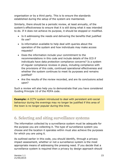organisation or by a third party. This is to ensure the standards established during the setup of the system are maintained.

Similarly, there should be a periodic review, at least annually, of the system's effectiveness to ensure that it is still doing what it was intended to do. If it does not achieve its purpose, it should be stopped or modified.

- Is it addressing the needs and delivering the benefits that justified its use?
- Is information available to help deal with queries about the operation of the system and how individuals may make access requests?
- Does the information include your commitment to the recommendations in this code and include details of the ICO if individuals have data protection compliance concerns? Is a system of regular compliance reviews in place, including compliance with the provisions of this code, continued operational effectiveness and whether the system continues to meet its purposes and remains justified?
- Are the results of the review recorded, and are its conclusions acted upon?

Such a review will also help you to demonstrate that you have considered Guiding Principle 10 of the POFA code.

**Example:** A CCTV system introduced to deal with persistent anti-social behaviour during the evenings may no longer be justified if this area of the town is no longer popular during this time.

# 6. Selecting and siting surveillance systems

The information collected by a surveillance system must be adequate for the purpose you are collecting it. The type of surveillance system you choose and the location it operates within must also achieve the purposes for which you are using it.

As outlined earlier in this code, you should identify, through a privacy impact assessment, whether or not a surveillance system is the most appropriate means of addressing the pressing need. If you decide that a surveillance system is required then a privacy by design approach should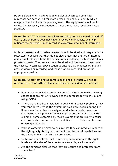be considered when making decisions about which equipment to purchase; see section 7.4 for more details. You should identify which equipment will address the pressing need. The equipment should only collect the necessary information to meet the purpose for which it was installed.

**Example:** A CCTV system that allows recording to be switched on and off easily, and therefore does not have to record continuously, will help mitigate the potential risk of recording excessive amounts of information.

Both permanent and movable cameras should be sited and image capture restricted to ensure that they do not view areas that are not of interest and are not intended to be the subject of surveillance, such as individuals' private property. The cameras must be sited and the system must have the necessary technical specification to ensure that unnecessary images are not viewed or recorded, and those that are recorded are of the appropriate quality.

**Example:** Check that a fixed camera positioned in winter will not be obscured by the growth of plants and trees in the spring and summer.

- Have you carefully chosen the camera location to minimise viewing spaces that are not of relevance to the purposes for which you are using CCTV?
- Where CCTV has been installed to deal with a specific problem, have you considered setting the system up so it only records during the time when the problem usually occurs? Alternatively, have you considered other privacy-friendly ways of processing images? For example, some systems only record events that are likely to cause concern, such as movement into a defined area. This can also save on storage capacity.
- Will the cameras be sited to ensure that they can produce images of the right quality, taking into account their technical capabilities and the environment in which they are placed?
- Is the camera suitable for the location, bearing in mind the light levels and the size of the area to be viewed by each camera?
- Are the cameras sited so that they are secure and protected from vandalism?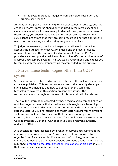Will the system produce images of sufficient size, resolution and frames per second?

In areas where people have a heightened expectation of privacy, such as changing rooms, cameras should only be used in the most exceptional circumstances where it is necessary to deal with very serious concerns. In these cases, you should make extra effort to ensure that those under surveillance are aware that they are being recorded and that appropriate restrictions on viewing and disclosing images are in place.

To judge the necessary quality of images, you will need to take into account the purpose for which CCTV is used and the level of quality required to achieve the purpose. Guiding principle 8 of the POFA code provides clear and practical advice on how to identify the requirements of a surveillance camera system. The ICO would recommend and expect you to comply with the same standards as recommended in this principle.

# 7. Surveillance technologies other than CCTV systems

Surveillance systems have advanced greatly since the last version of this code was published. This section covers some of the recently developed surveillance technologies and how to approach them. While the technologies covered in this section present new issues, the recommendations throughout the rest of this code will still be relevant.

The way the information collected by these technologies can be linked or matched together means that surveillance technologies are becoming more interconnected. This presents further issues with regards to people's personal data. If you are intending to match data together from different systems, you will need to be careful that the information you are collecting is accurate and not excessive. You should also pay attention to Guiding Principle 12 of the POFA code if you are a relevant authority under the POFA.

It is possible for data collected by a range of surveillance systems to be integrated into broader 'big data' processing systems operated by organisations. This has implications in terms of profiling, what can be learnt about individuals and how decisions are made about them. The ICO published [a report on the data protection implications of big data](http://ico.org.uk/for_organisations/guidance_index/~/media/documents/library/Data_Protection/Practical_application/big-data-and-data-protection.pdf) in 2014 that covers this issue in further detail.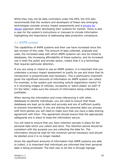While they may not be data controllers under the DPA, the ICO also recommends that the vendors and developers of these new emerging technologies consider privacy impact assessments and a [privacy by](http://ico.org.uk/for_organisations/guidance_index/~/media/documents/library/Data_Protection/Practical_application/pia-code-of-practice-final-draft.pdf)  [design](http://ico.org.uk/for_organisations/guidance_index/~/media/documents/library/Data_Protection/Practical_application/pia-code-of-practice-final-draft.pdf) approach when developing their systems for market. There is also a case for the system's instructions or manuals to include information highlighting the importance of addressing data protection compliance.

#### 7.1 ANPR system

The capabilities of ANPR systems and their use have increased since the last revision of this code. The amount of data collected, analysed and used, the increased ease with which ANPR systems can now be linked to databases, the increasing affordability of these systems, and its increased use in both the public and private sector, means that it is a technology that requires particular attention.

If you are using or intend to use an ANPR system, it is important that you undertake a privacy impact assessment to justify its use and show that its introduction is proportionate and necessary. This is particularly important given the significant amounts of information an ANPR system can collect. For example, is the system just recording vehicle registration marks? Or is it recording images of vehicles, occupants or 'patch plates' as well? If it's the latter, make sure the amount of information being collected is justifiable.

When storing the information and cross referencing it with other databases to identify individuals, you will need to ensure that these databases are kept up-to-date and accurate and are of sufficient quality to prevent mismatches. If you are sharing the personal data you process with third parties you will need to make sure that you have a data sharing agreement with them. This agreement should ensure that the appropriate safeguards are in place to keep the information secure.

You will need to ensure that you have retention periods in place for the personal data which you collect and store. The retention period should be consistent with the purpose you are collecting the data for. The information should be kept for the minimum period necessary and should be deleted once it is no longer needed.

Given the significant amounts of information that ANPR systems are able to collect, it is important that individuals are informed that their personal data is being processed. The best way to do this is through signage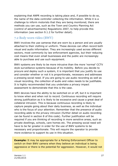explaining that ANPR recording is taking place and, if possible to do so, the name of the data controller collecting the information. While it is a challenge to inform motorists that they are being monitored, there are methods you can use, such as the Town and Country Planning Act (control of advertisements) Regulations 2007, to help provide this information (see section 9.1.2 for further detail).

## 7.2 Body worn video (BWV)

BWV involves the use cameras that are worn by a person and are usually attached to their clothing or uniform. These devices can often record both visual and audio information. They are increasingly used across different sectors, most commonly by law enforcement agencies, but their reducing cost means that even small businesses and the public are increasingly able to purchase and use such equipment.

BWV systems are likely to be more intrusive than the more 'normal' CCTV style surveillance systems because of its mobility. Before you decide to procure and deploy such a system, it is important that you justify its use and consider whether or not it is proportionate, necessary and addresses a pressing social need. If you are going to use audio recording as well as visual recording, the collection of audio and video needs to be justifiable. It is highly recommended that you undertake a privacy impact assessment to demonstrate that this is the case.

BWV devices have the ability to be switched on or off, but it is important to know when and when not to record. Continuous recording will require strong justification as it is likely to be excessive and cause a great deal of collateral intrusion. This is because continuous recording is likely to capture people going about their daily business, as well as the individual who is the focus of your attention. Remember that the presence of audio recording adds to the privacy intrusion (further detail on audio recording can be found in section 8 of this code). Further justification will be required if you are thinking of recording in more sensitive areas, such as private dwellings, schools, care homes etc. The pressing social need will have to be far greater in order for the use of BWV systems to be necessary and proportionate. This will require the operator to provide more evidence to support its use in this situation.

**Example:** It may be appropriate for a Parking Enforcement Officer to switch on their BWV camera when they believe an individual is being aggressive or there is the potential for aggression. However, it would not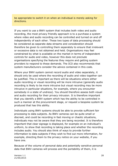be appropriate to switch it on when an individual is merely asking for directions.

If you want to use a BWV system that includes both video and audio recording, the most privacy friendly approach is to a purchase a system where video and audio recording can be controlled and turned on and off independently of each other. These two types of data processing should be considered as separate data streams and consideration should therefore be given to controlling them separately to ensure that irrelevant or excessive data is not obtained and held. Organisations may feel constrained by what is available on the market in terms of independent controls for audio and video, however this does not preclude organisations specifying the features they require and getting system providers to respond to these demands. The ICO also recommends that system manufacturers consider the advice contained in this code.

Where your BWV system cannot record audio and video separately, it should only be used where the recording of audio and video together can be justified. This is important as there will be situations where either audio recording or visual recording will be more intrusive (generally audio recording is likely to be more intrusive but visual recording may be more intrusive in particular situations, for example, where you encounter somebody in a state of undress). You should therefore assess both visual and audio recording for their privacy intrusion. It is therefore important that you identify a BWV system which has the ability to be controlled in such a manner at the procurement stage, or request a bespoke system be produced that has this ability.

Individuals using BWV systems should be able to provide sufficient fair processing to data subjects. As BWV cameras can be quite small or discreet, and could be recording in fast moving or chaotic situations, individuals may not be aware that they are being recorded. It is therefore important that clear signage is displayed, for example on an individual's uniform, to show that recording is taking place and whether the recording includes audio. You should also think of ways to provide further information to data subjects if they wish to find out more information, for example, directing them to the privacy notice on your website, if you have one.

Because of the volume of personal data and potentially sensitive personal data that BWV cameras will process and the portability of them, it is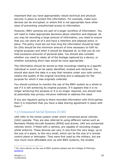important that you have appropriately robust technical and physical security in place to protect this information. For example, make sure devices can be encrypted, or where this is not appropriate have other ways of preventing unauthorised access to information.

However, BWV cameras are part of a larger workflow of information. You will need to make appropriate decisions about retention and disposal. As you may be recording a large amount of information, you need to ensure that you can store all of it and have a retention and disposal policy in place. The policy must set out how long the information should be kept for (this should be the minimum amount of time necessary to fulfil its original purpose) and when it should be disposed of, so that you do not hold excessive amounts of personal data. You should also consider whether you need to retain all of the footage captured by a device, or whether extracting short clips would be more appropriate.

The information should be stored so that recordings relating to a specific individual or event can be easily identified, located and retrieved. You should also store the data in a way that remains under your sole control, retains the quality of the original recording and is adequate for the purpose for which it was originally collected.

You should continue to monitor the use of the BWV system as a whole to see if it is still achieving its original purpose. If it appears that it is no longer achieving this purpose or it is no longer required, you should look at potentially less privacy intrusive methods to address the need.

If you are regularly going to share recorded information with third parties then it is important that you have a data sharing agreement in place with them.<sup>5</sup>

## 7.3 Unmanned Aerial Systems (UAS)

UAS refer to the whole system under which unmanned aerial vehicles (UAV) operate. They are also referred to using different names such as Remotely Piloted Aircraft Systems (RPAS) and drones. UAV are unmanned vehicles which, if fitted with a camera, are capable of recording images whilst airborne. These devices can vary in size from the very large, up to the size of a plane, to the very small, which can be the size of a remote control plane or helicopter. They were first used by the military, but are now much more affordable and, as with BWV systems, the smaller

-

<sup>&</sup>lt;sup>5</sup> For more advice on the use of BWV systems please see the College of Policing's [guidance](http://library.college.police.uk/docs/college-of-policing/Body-worn-video-guidance-2014.pdf)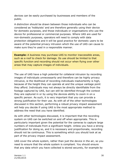devices can be easily purchased by businesses and members of the public.

A distinction should be drawn between those individuals who can be considered as 'hobbyists' and are therefore generally using their device for domestic purposes, and those individuals or organisations who use the device for professional or commercial purposes. Where UAS are used for non-domestic purposes, operators will need to comply with data protection obligations and it will be good practice for domestic users to be aware of the potential privacy intrusion which the use of UAS can cause to make sure they're used in a responsible manner.

**Example:** A business may purchase UAS to monitor inaccessible areas, such as a roof to check for damage. Its use should be limited to that specific function and recording should not occur when flying over other areas that may capture images of individuals.

The use of UAS have a high potential for collateral intrusion by recording images of individuals unnecessarily and therefore can be highly privacy intrusive, ie the likelihood of recording individuals inadvertently is high, because of the height they can operate at and the unique vantage point they afford. Individuals may not always be directly identifiable from the footage captured by UAS, but can still be identified through the context they are captured in or by using the devices ability to zoom in on a specific person. As such, it is very important that you can provide a strong justification for their use. As with all of the other technologies discussed in this section, performing a robust privacy impact assessment will help you decide if using UAS is the most appropriate method to address the need that you have identified.

As with other technologies discussed, it is important that the recording system on UAS can be switched on and off when appropriate. This is particularly important given the potential for the cameras to capture large numbers of individuals from a significant height. Unless you have a strong justification for doing so, and it is necessary and proportionate, recording should not be continuous. This is something which you should look at as part of the privacy impact assessment.

UAS cover the whole system, rather than just the device in the air, so you need to ensure that the whole system is compliant. You should ensure that any data which you have collected is stored securely, for example by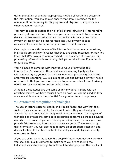using encryption or another appropriate method of restricting access to the information. You should also ensure that data is retained for the minimum time necessary for its purpose and disposed of appropriately when no longer required.

You may be able to reduce the risk of collateral intrusion by incorporating privacy by design methods. For example, you may be able to procure a device that has restricted vision so that its focus is only in one place. Privacy by design can be incorporated into your privacy impact assessment and can form part of your procurement process.

One major issue with the use of UAS is the fact that on many occasions, individuals are unlikely to realise that they are being recorded, or may not know that UAV have a camera attached. The challenge of providing fair processing information is something that you must address if you decide to purchase UAS.

You will need to come up with innovative ways of providing this information. For example, this could involve wearing highly visible clothing identifying yourself as the UAS operator, placing signage in the area you are operating UAS explaining its use and having a privacy notice on a website that you can direct people to, or some other form of privacy notice, so they can access further information.

Although these issues are the same as for any aerial vehicle with an attached camera, we have focused here on how UAS can be used as they are a novel device with the potential for a greater impact on privacy

## 7.4 Automated recognition technologies

The use of technologies to identify individuals' faces, the way that they walk or their eye movements, for example when they are looking at advertising, are being increasingly used by organisations. These types of technologies attract the same data protection concerns as those discussed already in this code. If you are thinking of using these systems you must provide fair processing information to data subjects. If you are storing this information you will also need to have an appropriate retention and disposal schedule and have suitable technological and physical security measures in place.

If you are using cameras to identify people's faces, you must ensure that you use high quality cameras to make sure you are capturing the individual accurately enough to fulfil the intended purpose. The results of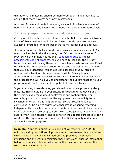this automatic matching should be monitored by a trained individual to ensure that there haven't been any mismatches.

Any use of these automated technologies should involve some level of human interaction and should not be done on a purely automated basis.

## 7.5 Privacy impact assessments and privacy by design

Clearly all of these technologies have the potential to be privacy intrusive. None of these devices should be purchased merely because they are available, affordable or in the belief that it will garner public approval.

It is very important that you perform a privacy impact assessment. As mentioned earlier in this document, the ICO has produced a code of practice which can help you do this, '[conducting privacy impact](http://ico.org.uk/for_organisations/data_protection/topic_guides/~/media/documents/library/data_protection/practical_application/pia-code-of-practice-final-draft.pdf)  [assessments code of practice](http://ico.org.uk/for_organisations/data_protection/topic_guides/~/media/documents/library/data_protection/practical_application/pia-code-of-practice-final-draft.pdf)'. You will need to consider the privacy issues involved with using these new surveillance systems and see if their use would be necessary and proportionate and address a pressing need that you have identified. You should consider less privacy intrusive methods of achieving this need where possible. Privacy impact assessments are also beneficial because consultation is a key element of the process; this will help you to understand the public's reaction to your proposal and people's views about potential privacy intrusion.

If you are using these devices, you should incorporate privacy by design features. This should be in your criteria for procuring the device and in the decisions you make about deployment and configuration. For example, you should make sure the equipment has the ability to be switched on or off, if this is appropriate, so that recording is not continuous, or be able to switch off either image or sound recording independently of each other where to capture of both would be excessive. Unless continuous recording can be shown to be justified, you should only record when it is necessary and is done for the specific purpose it is being used for. The equipment must also be of sufficient quality and standard to achieve its stated purpose.

**Example:** A car park operator is looking at whether to use ANPR to enforce parking restrictions. A privacy impact assessment is undertaken which identifies how ANPR will address the problem, the privacy intrusions and the ways to minimise these intrusions, such as information being automatically deleted when a car that has not contravened the restrictions leaves a car park.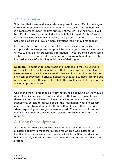## 7.6 Privacy notices

It is clear that these and similar devices present more difficult challenges in relation to providing individuals with fair processing information, which is a requirement under the first principle of the DPA. For example, it will be difficult to ensure that an individual is fully informed of this information if the surveillance system is airborne, on a person or, in the case of ANPR, not visible at ground level or more prevalent then it may first appear.

However, these are issues that must be tackled as you are unlikely to comply with the data protection principles unless you make all reasonable efforts to provide fair processing information. If you are considering using such devices, you will need to come up with appropriate and potentially innovative ways of informing individuals of their rights.

**Example:** In addition to more traditional methods, it may be useful to use social media to inform individuals that certain types of surveillance systems are in operation at a specific time and in a specific area. Further links can be provided to privacy notices so that data subjects can find out more information if they are interested. This would essentially function as a layered privacy notice.

One of the main rights that a privacy notice helps deliver is an individual's right of subject access. If you have decided that you are going to use these devices you will need to have the ability to provide information to requestors, be able to obscure or edit the information where necessary and have staff trained to deal with the different issues that may arise when responding to a subject access request. If you're a public authority you will also need to consider your response to freedom of information requests.

# 8. Using the equipment

It is important that a surveillance system produces information that is of a suitable quality to meet the purpose for which it was installed. If identification is necessary, then poor quality information that does not help to identify individuals may undermine the purpose for installing the system.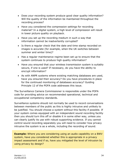- Does your recording system produce good clear quality information? Will the quality of the information be maintained throughout the recording process?
- Have you considered the compression settings for recording material? In a digital system, a high level of compression will result in lower picture quality on playback.
- Have you set up the recording medium in such a way that information cannot be inadvertently corrupted?
- Is there a regular check that the date and time stamp recorded on images is accurate (for example, when the UK switches between summer and winter time)?
- Has a regular maintenance regime been set up to ensure that the system continues to produce high quality information?
- Have you ensured that your wireless transmission system is suitably secure, if one is used? If necessary, do you have the ability to encrypt information?
- As with ANPR systems where existing matching databases are used, have you ensured their accuracy? Do you have procedures in place for the continued monitoring of databases accuracy? Guiding Principle 12 of the POFA code addresses this issue.

The Surveillance Camera Commissioner is responsible under the POFA code for providing advice on recommended operational, technical and occupational competency standards.

Surveillance systems should not normally be used to record conversations between members of the public as this is highly intrusive and unlikely to be justified. You should choose a system without this facility if possible. If your system comes equipped with an independent sound recording facility then you should turn this off or disable it in some other way, unless you can clearly justify its use with robust supporting evidence. If you cannot control sound recording separately you will need to consider how privacy intrusive the system is as a whole, including the recording of sound.

**Example:** Where you are considering using an audio capability on a BWV system, have you considered whether this is appropriate in a privacy impact assessment and if so, have you mitigated the level of intrusion by using privacy by design?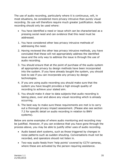The use of audio recording, particularly where it is continuous, will, in most situations, be considered more privacy intrusive than purely visual recording. Its use will therefore require much greater justification. Audio recording should only be used where:

- You have identified a need or issue which can be characterised as a pressing social need and can evidence that this need must be addressed.
- 1. You have considered other less privacy intrusive methods of addressing the need.
- 2. Having reviewed the other less privacy intrusive methods, you have concluded that these will not appropriately address the identified issue and the only way to address the issue is through the use of audio recording.
- 3. You should ensure that at the point of purchase of the audio system all appropriate privacy by design methods have been incorporated into the system. If you have already bought the system, you should look to see if you can incorporate any privacy by design technologies.
- 4. If you are using audio recording you should make sure that the system you have bought provides a high enough quality of recording to achieve your stated aim.
- 5. You should make it clear to data subjects that audio recording is taking place, over and above any visual recording which is already occurring.
- 6. The best way to make sure these requirements are met is to carry out a thorough privacy impact assessment. (Please also see section 7.2 for specific detail on audio recording in relation to BWV systems).

Below are some examples of where audio monitoring and recording may be justified. However, if you can evidence that you have gone through the process above, you may be able to justify other uses of audio recording.

- Audio based alert systems, such as those triggered by changes in noise patterns such as sudden shouting. Conversations must not be recorded, and operators should not listen in.
- Two-way audio feeds from 'help points' covered by CCTV cameras, where these are activated by the person requiring assistance.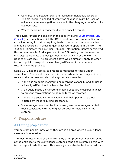- Conversations between staff and particular individuals where a reliable record is needed of what was said so it might be used as evidence in an investigation, such as in the charging area of a police custody suite.
- Where recording is triggered due to a specific threat.

This advice reflects the decision in the case involving [Southampton City](http://www.informationtribunal.gov.uk/DBFiles/Decision/i962/20130220%20Decision%20Amended%20EA20120171.pdf)  [Council](http://www.informationtribunal.gov.uk/DBFiles/Decision/i962/20130220%20Decision%20Amended%20EA20120171.pdf) (the council) in which the ICO issued an enforcement notice to the council ordering it to stop requiring taxis to carry out continuous video and audio recording in order to gain a license to operate in the city. The ICO and ultimately the First-Tier Tribunal (Information Rights) considered this to be a breach of principle one of the DPA, ruling that the measure was disproportionate and not justified under article 8 of the HRA (the right to private life). The argument above would similarly apply to other forms of public transport, unless clear justification for continuous recording can be provided.

Some CCTV has the ability to broadcast messages to those under surveillance. You should only use this option when the messages directly relate to the purpose for which the system was installed.

- If there is an audio monitoring or recording capability and its use is not well justified has this been disabled?
- If an audio based alert system is being used are measures in place to prevent conversations being monitored or recorded?
- If there are audio communications with help points, are these initiated by those requiring assistance?
- If a message broadcast facility is used, are the messages limited to those consistent with the original purpose for establishing the system?

# 9. Responsibilities

## 9.1 Letting people know

You must let people know when they are in an area where a surveillance system is in operation.

The most effective way of doing this is by using prominently placed signs at the entrance to the surveillance system's zone and reinforcing this with further signs inside the area. This message can also be backed up with an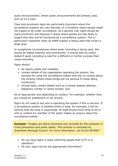audio announcement, where public announcements are already used, such as on a train.

Clear and prominent signs are particularly important where the surveillance systems are very discreet, or in locations where people might not expect to be under surveillance. As a general rule, signs should be more prominent and frequent in areas where people are less likely to expect that they will be monitored by a surveillance system. This is particularly important when an ANPR system is being used that covers a large area.

In exceptional circumstances where audio recording is being used, this should be stated explicitly and prominently. It should also be clearly stated if audio recording is used for a different or further purpose than visual recording.

Signs should:

- be clearly visible and readable;
- contain details of the organisation operating the system, the purpose for using the surveillance system and who to contact about the scheme (where these things are not obvious to those being monitored);
- include basic contact details such as a simple website address, telephone number or email contact; and

be an appropriate size depending on context. For example, whether they are viewed by pedestrians or car drivers.

Signs do not need to say who is operating the system if this is obvious. If a surveillance system is installed within a shop, for example, it will be obvious that the shop is responsible. All staff should know what to do or who to contact if a member of the public makes an enquiry about the surveillance system.

**Example:** "Images are being monitored and recorded for the purposes of crime prevention and public safety. This scheme is controlled by Greentown Borough Council. For more information, call 01234 567890."

- Do you have signs in place informing people that CCTV is in operation?
- Do your signs convey the appropriate information?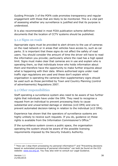Guiding Principle 3 of the POFA code promotes transparency and regular engagement with those that are likely to be monitored. This is a vital part of assessing whether any surveillance is justified and that its purpose is understood.

It is also recommended in most FOIA publication scheme definition documents that the location of CCTV systems should be published.

## 9.1.2 Signs on roads

Appropriate signs must be provided to alert drivers to the use of cameras on the road network or in areas that vehicles have access to, such as car parks. It is important that these signs do not affect the safety of road users. You should consider the amount of time the driver will have to read the information you provide; particularly where the road has a high speed limit. Signs must make clear that cameras are in use and explain who is operating them, so that individuals know who holds information about them and therefore have the opportunity to make further enquires about what is happening with their data. Where authorised signs under road traffic sign regulations are used and these don't explain which organisation is operating the cameras then supplementary signs should be used such as those permitted by Town and Country Planning (control of advertisements) Regulations 2007.

#### 9.2 Other responsibilities

Staff operating a surveillance system also need to be aware of two further rights that individuals have under the DPA. They need to recognise a request from an individual to prevent processing likely to cause substantial and unwarranted damage or distress (s10 DPA) and one to prevent automated decision-taking in relation to the individual (s12 DPA).

Experience has shown that the operators of surveillance systems are highly unlikely to receive such requests. If you do, guidance on these rights is available from the Information Commissioner's Office.<sup>6</sup>

If the surveillance system covers a public space, the organisation operating the system should be aware of the possible licensing requirements imposed by the Security Industry Authority.

<sup>-</sup><sup>6</sup> "How can I stop them processing my personal information?" and "Preventing decisions based on automated processing of personal information" can both be found on the ICO website: [www.ico.org.uk.](http://www.ico.org.uk/) You may also wish to consult our Legal Guidance.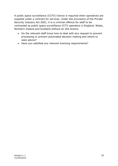A public space surveillance (CCTV) licence is required when operatives are supplied under a contract for services. Under the provisions of the Private Security Industry Act 2001, it is a criminal offence for staff to be contracted as public space surveillance CCTV operators in England, Wales, Northern Ireland and Scotland without an SIA licence.

- Do the relevant staff know how to deal with any request to prevent processing or prevent automated decision making and where to seek advice?
- Have you satisfied any relevant licensing requirements?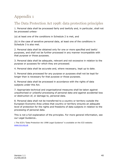# Appendix 1

# The Data Protection Act 1998: data protection principles

1. Personal data shall be processed fairly and lawfully and, in particular, shall not be processed unless-

(a) at least one of the conditions in Schedule 2 is met, and

(b) in the case of sensitive personal data, at least one of the conditions in Schedule 3 is also met.

2. Personal data shall be obtained only for one or more specified and lawful purposes, and shall not be further processed in any manner incompatible with that purpose or those purposes.

3. Personal data shall be adequate, relevant and not excessive in relation to the purpose or purposes for which they are processed.

4. Personal data shall be accurate and, where necessary, kept up to date.

5. Personal data processed for any purpose or purposes shall not be kept for longer than is necessary for that purpose or those purposes.

6. Personal data shall be processed in accordance with the rights of data subjects under this Act.

7. Appropriate technical and organisational measures shall be taken against unauthorised or unlawful processing of personal data and against accidental loss or destruction of, or damage to, personal data.

8. Personal data shall not be transferred to a country or territory outside the European Economic Area unless that country or territory ensures an adequate level of protection for the rights and freedoms of data subjects in relation to the processing of personal data.

This is not a full explanation of the principles. For more general information, see our Legal Guidance<sub>1</sub>.

1 The ICO's "Data Protection Act 1998 Legal Guidance" is available on the ICO website: [www.ico.org.uk](http://www.ico.org.uk/)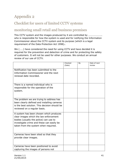# Appendix 2

# Checklist for users of limited CCTV systems

## monitoring small retail and business premises

This CCTV system and the images produced by it are controlled by ………………….. who is responsible for how the system is used and for notifying the Information Commissioner about the CCTV system and its purpose (which is a legal requirement of the Data Protection Act 1998)<sub>1</sub>.

We (……) have considered the need for using CCTV and have decided it is required for the prevention and detection of crime and for protecting the safety of customers. It will not be used for other purposes. We conduct an annual review of our use of CCTV.

|                                               | Checked<br>(Date) | By | Date of next<br>review |
|-----------------------------------------------|-------------------|----|------------------------|
|                                               |                   |    |                        |
| Notification has been submitted to the        |                   |    |                        |
| Information Commissioner and the next         |                   |    |                        |
| renewal date recorded.                        |                   |    |                        |
|                                               |                   |    |                        |
|                                               |                   |    |                        |
| There is a named individual who is            |                   |    |                        |
| responsible for the operation of the          |                   |    |                        |
| system.                                       |                   |    |                        |
|                                               |                   |    |                        |
|                                               |                   |    |                        |
| The problem we are trying to address has      |                   |    |                        |
| been clearly defined and installing cameras   |                   |    |                        |
| is the best solution. This decision should be |                   |    |                        |
| reviewed on a regular basis.                  |                   |    |                        |
|                                               |                   |    |                        |
| A system has been chosen which produces       |                   |    |                        |
| clear images which the law enforcement        |                   |    |                        |
| bodies (usually the police) can use to        |                   |    |                        |
| investigate crime and these can easily be     |                   |    |                        |
| taken from the system when required.          |                   |    |                        |
|                                               |                   |    |                        |
|                                               |                   |    |                        |
| Cameras have been sited so that they          |                   |    |                        |
| provide clear images.                         |                   |    |                        |
|                                               |                   |    |                        |
|                                               |                   |    |                        |
| Cameras have been positioned to avoid         |                   |    |                        |
| capturing the images of persons not           |                   |    |                        |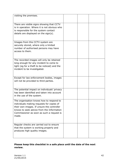| visiting the premises.                                                                                                                                                                                                                 |  |  |
|----------------------------------------------------------------------------------------------------------------------------------------------------------------------------------------------------------------------------------------|--|--|
|                                                                                                                                                                                                                                        |  |  |
| There are visible signs showing that CCTV<br>is in operation. Where it is not obvious who<br>is responsible for the system contact<br>details are displayed on the sign(s).                                                            |  |  |
| Images from this CCTV system are<br>securely stored, where only a limited<br>number of authorised persons may have<br>access to them.                                                                                                  |  |  |
| The recorded images will only be retained<br>long enough for any incident to come to<br>light (eg for a theft to be noticed) and the<br>incident to be investigated.                                                                   |  |  |
| Except for law enforcement bodies, images<br>will not be provided to third parties.                                                                                                                                                    |  |  |
| The potential impact on individuals' privacy<br>has been identified and taken into account<br>in the use of the system.                                                                                                                |  |  |
| The organisation knows how to respond to<br>individuals making requests for copies of<br>their own images. If unsure the controller<br>knows to seek advice from the Information<br>Commissioner as soon as such a request is<br>made. |  |  |
| Regular checks are carried out to ensure<br>that the system is working properly and<br>produces high quality images.                                                                                                                   |  |  |

#### **Please keep this checklist in a safe place until the date of the next review.**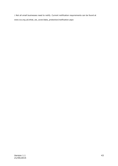1 Not all small businesses need to notify. Current notification requirements can be found at www.ico.org.uk/what\_we\_cover/data\_protection/notification.aspx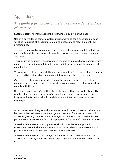# Appendix 3

# The guiding principles of the Surveillance Camera Code of Practice

System operators should adopt the following 12 guiding principles:

Use of a surveillance camera system must always be for a specified purpose which is in pursuit of a legitimate aim and necessary to meet an identified pressing need.

The use of a surveillance camera system must take into account its effect on individuals and their privacy, with regular reviews to ensure its use remains justified.

There must be as much transparency in the use of a surveillance camera system as possible, including a published contact point for access to information and complaints.

There must be clear responsibility and accountability for all surveillance camera system activities including images and information collected, held and used.

Clear rules, policies and procedures must be in place before a surveillance camera system is used, and these must be communicated to all who need to comply with them.

No more images and information should be stored than that which is strictly required for the stated purpose of a surveillance camera system, and such images and information should be deleted once their purposes have been discharged.

Access to retained images and information should be restricted and there must be clearly defined rules on who can gain access and for what purpose such access is granted; the disclosure of images and information should only take place when it is necessary for such a purpose or for law enforcement purposes.

Surveillance camera system operators should consider any approved operational, technical and competency standards relevant to a system and its purpose and work to meet and maintain those standards.

Surveillance camera system images and information should be subject to appropriate security measures to safeguard against unauthorised access and use.